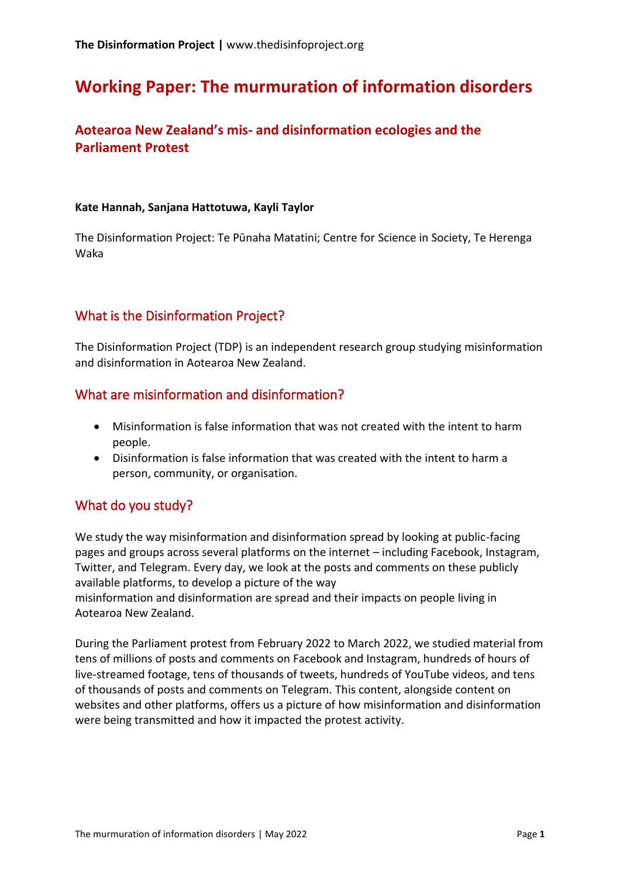# **Working Paper: The murmuration of information disorders**

## **Aotearoa New Zealand's mis- and disinformation ecologies and the Parliament Protest**

#### **Kate Hannah, Sanjana Hattotuwa, Kayli Taylor**

The Disinformation Project: Te Pūnaha Matatini; Centre for Science in Society, Te Herenga Waka

## What is the Disinformation Project?

The Disinformation Project (TDP) is an independent research group studying misinformation and disinformation in Aotearoa New Zealand.

### What are misinformation and disinformation?

- Misinformation is false information that was not created with the intent to harm people.
- Disinformation is false information that was created with the intent to harm a person, community, or organisation.

## What do you study?

We study the way misinformation and disinformation spread by looking at public-facing pages and groups across several platforms on the internet – including Facebook, Instagram, Twitter, and Telegram. Every day, we look at the posts and comments on these publicly available platforms, to develop a picture of the way

misinformation and disinformation are spread and their impacts on people living in Aotearoa New Zealand.

During the Parliament protest from February 2022 to March 2022, we studied material from tens of millions of posts and comments on Facebook and Instagram, hundreds of hours of live-streamed footage, tens of thousands of tweets, hundreds of YouTube videos, and tens of thousands of posts and comments on Telegram. This content, alongside content on websites and other platforms, offers us a picture of how misinformation and disinformation were being transmitted and how it impacted the protest activity.